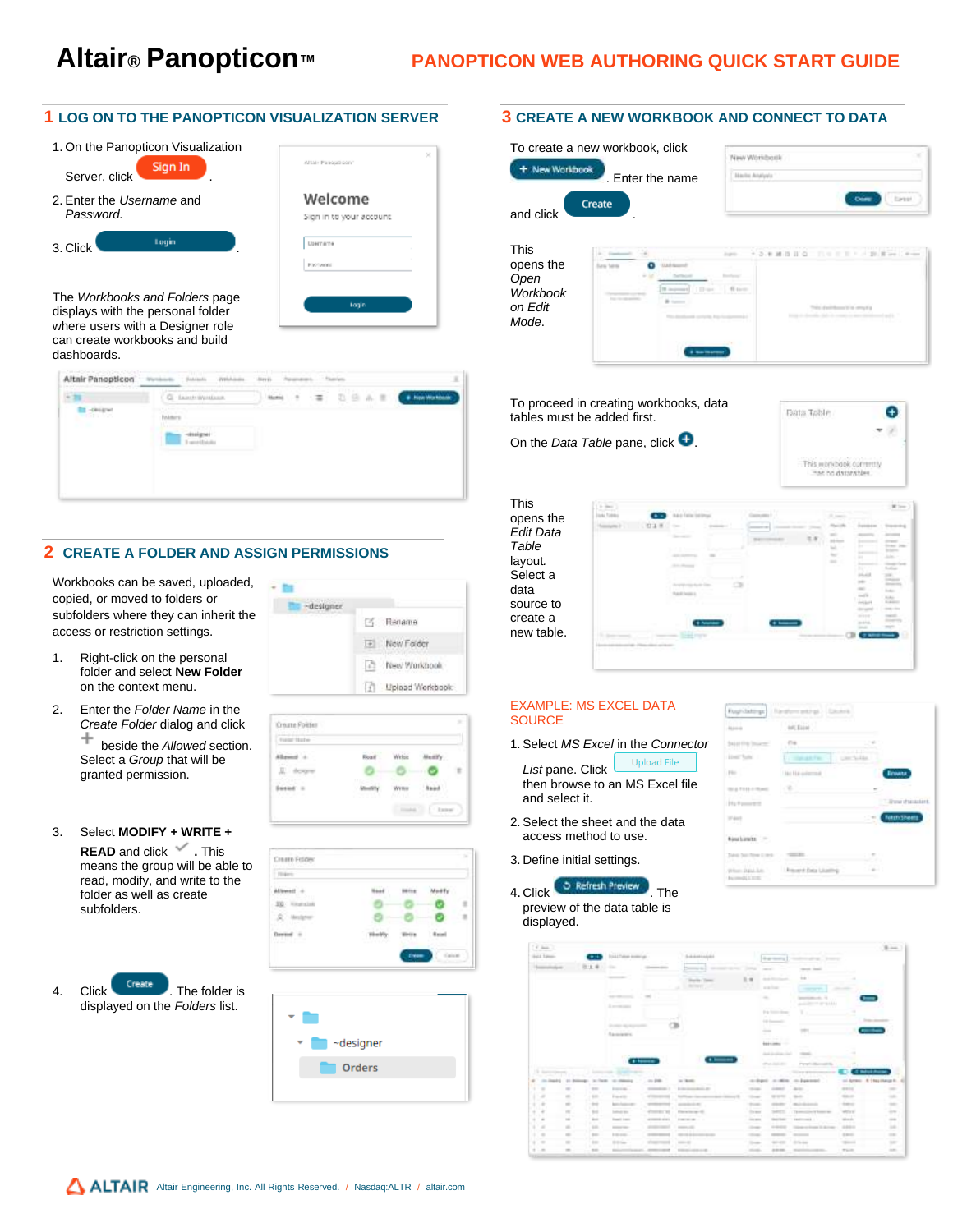# **Altair® Panopticon™ PANOPTICON WEB AUTHORING QUICK START GUIDE**

## **1 LOG ON TO THE PANOPTICON VISUALIZATION SERVER**

| 1. On the Panopticon Visualization<br>Sign In<br>Server, click | Altaix Pareaup pant      |
|----------------------------------------------------------------|--------------------------|
| 2. Enter the Username and                                      | Welcome                  |
| Password.                                                      | Sign in to your account. |
| Login                                                          | Username                 |
| 3. Click                                                       | <b>Environment</b>       |

The *Workbooks and Folders* page displays with the personal folder where users with a Designer role can create workbooks and build dashboards.





# **2 CREATE A FOLDER AND ASSIGN PERMISSIONS**

Workbooks can be saved, uploaded, copied, or moved to folders or subfolders where they can inherit the access or restriction settings.

- 1. Right-click on the personal folder and select **New Folder** on the context menu.
- 2. Enter the *Folder Name* in the *Create Folder* dialog and click ÷

beside the *Allowed* section. Select a *Group* that will be granted permission.

# 3. Select **MODIFY + WRITE +**

**READ** and click **.** This means the group will be able to read, modify, and write to the folder as well as create subfolders.

4. Click <sup>Create</sup> . The folder is displayed on the *Folders* list.



| or Holy   |                                |  |
|-----------|--------------------------------|--|
| $\sim$    | and a children<br>Ricalif<br>ï |  |
|           |                                |  |
| $\lambda$ |                                |  |





#### **3 CREATE A NEW WORKBOOK AND CONNECT TO DATA**

| To create a new workbook, click<br>New Workbook<br>. Enter the name     | New Worldock                                                                            |
|-------------------------------------------------------------------------|-----------------------------------------------------------------------------------------|
| Create<br>and click                                                     | Carter                                                                                  |
| <b>This</b><br>opens the<br>Open<br><b>Workbook</b><br>on Edit<br>Mode. | THE R. P. LEWIS<br>$11'$ O<br>THE RESIDENT COMPANY<br>TWO distributors to an entry it a |

To proceed in creating workbooks, data tables must be added first.

On the *Data Table* pane, click  $\bullet$ .



This opens the *Edit Data Table*  layout*.* Select a data source to create a new table.



#### EXAMPLE: MS EXCEL DATA **SOURCE**

1. Select *MS Excel* in the *Connector* 

Upload File *List* pane. Click then browse to an MS Excel file and select it.

- 2. Select the sheet and the data access method to use.
- 3. Define initial settings.
- 4. Click **. The Refresh Preview** The preview of the data table is displayed.



|          | $\ell$ inn .                                                                                                              |                              |                  |                                               |                    |                                                         |                                     |                                                                                                                           |                                       |                               | Witness.                                                                                       |
|----------|---------------------------------------------------------------------------------------------------------------------------|------------------------------|------------------|-----------------------------------------------|--------------------|---------------------------------------------------------|-------------------------------------|---------------------------------------------------------------------------------------------------------------------------|---------------------------------------|-------------------------------|------------------------------------------------------------------------------------------------|
|          | ict Spee                                                                                                                  |                              |                  | Trad & Theline Annibirium                     |                    | <b><i><u><u>LAASSAA</u></u></i></b><br><b>TERRITORY</b> |                                     | <b>Bugermont</b>                                                                                                          | and the contract of<br><b>Science</b> |                               |                                                                                                |
|          | $\frac{1}{2} \left( \frac{1}{2} \right) \left( \frac{1}{2} \right) \left( \frac{1}{2} \right) \left( \frac{1}{2} \right)$ |                              |                  |                                               | -                  | ___<br>maria 2                                          |                                     | <b>STATE</b>                                                                                                              | <b>STATE STATE</b>                    |                               |                                                                                                |
|          |                                                                                                                           |                              |                  | ----                                          |                    | <b>Bandler Cheese</b>                                   | 1.1                                 | <b>Grade Montgomery</b>                                                                                                   | 부                                     |                               |                                                                                                |
|          |                                                                                                                           |                              |                  |                                               |                    |                                                         | - 1                                 | and free                                                                                                                  | <b>STATISTICS</b>                     |                               |                                                                                                |
|          |                                                                                                                           |                              |                  | <b>SAMP</b><br>----                           | $\sim$             |                                                         |                                     | $\frac{1}{2} \left( \frac{1}{2} \right) \left( \frac{1}{2} \right) \left( \frac{1}{2} \right) \left( \frac{1}{2} \right)$ | ---                                   |                               |                                                                                                |
|          |                                                                                                                           |                              |                  | <b>Location</b>                               |                    |                                                         |                                     |                                                                                                                           | <b>STARR</b>                          |                               |                                                                                                |
|          |                                                                                                                           |                              |                  |                                               |                    |                                                         |                                     | Fig. Some doesn'                                                                                                          |                                       |                               |                                                                                                |
|          |                                                                                                                           |                              |                  |                                               |                    |                                                         |                                     | ×<br>in terms.                                                                                                            |                                       |                               |                                                                                                |
|          |                                                                                                                           |                              |                  |                                               |                    |                                                         |                                     | a este<br>-                                                                                                               | <b>START</b><br>$-0.011$              |                               |                                                                                                |
|          |                                                                                                                           |                              |                  | <b>Representative</b>                         |                    |                                                         |                                     | m.<br><b>CONTRACTOR</b>                                                                                                   |                                       |                               |                                                                                                |
|          |                                                                                                                           |                              |                  |                                               |                    |                                                         |                                     | <b>BERKING</b>                                                                                                            |                                       |                               |                                                                                                |
|          |                                                                                                                           |                              |                  | and the company                               |                    |                                                         |                                     | the first product of the Con-<br>œ                                                                                        | <b>COMMERCIAL</b>                     |                               |                                                                                                |
|          |                                                                                                                           |                              |                  |                                               | <b>A Service</b>   | $+$ $-$                                                 |                                     | structure and                                                                                                             | Prompt Life                           |                               |                                                                                                |
|          | 19 Sales<br><b>START THE</b>                                                                                              |                              | ---              |                                               |                    |                                                         |                                     |                                                                                                                           | <b>SUPPORT</b>                        |                               | <b>CONVERT</b>                                                                                 |
|          | The country of                                                                                                            | $-100$                       | . to them.       | $= 1000$<br>an sa                             | $-10.000$          | to them.                                                | an dopot<br>w                       | give help there they be allowed<br>$-1.1$                                                                                 | continue, can be accessed             | - 6                           | of Artes: 4 1 Nothington, 42<br>- -                                                            |
| $\cdots$ |                                                                                                                           | $\sim$                       | $\sim$<br>o Trin | <b>Brown and College</b><br><b>STATISTICS</b> |                    | \$1,000 million and state of the local con-             | <b>The State</b>                    | <b>COMMERCIAL</b>                                                                                                         | <b>British</b><br>.                   | <b>HEART</b><br>e sa pr       | $\sim$<br>e.                                                                                   |
|          | 이동                                                                                                                        | $\sim$                       | $\leftarrow$     | <b>Property</b>                               |                    |                                                         | <b>COMPANY</b>                      | ---                                                                                                                       | -                                     |                               | $\frac{1}{2} \left( \frac{1}{2} \right) \left( \frac{1}{2} \right) \left( \frac{1}{2} \right)$ |
| ٠        | $\rightarrow$                                                                                                             | $\sim$<br>m.                 | $-$<br>65 T.     | <b>Botter Products and</b><br>----            |                    | <b>CONTRACTOR</b><br>------                             | <b>The America</b><br>$\sim$ $\sim$ | <b>STATISTICS</b><br>                                                                                                     | <b>CONTRACTOR</b>                     | <b>STATISTICS</b><br>wan n    | $\sim$<br>Ð                                                                                    |
| ÷        | H.                                                                                                                        | $\frac{1}{2}$<br><b>STAR</b> | .                | <b>Instruction</b><br>The South Corp.         | <b>COMPANY</b> THE | <b>Flame Horsey Gl.</b><br>and the property of the      | Darwest 1<br><b>Contractor</b>      |                                                                                                                           | from 1. Commercial control            | sensor and<br>$-11111$        | <b>Service</b><br>ora e                                                                        |
| ٠        | - 4<br>n an                                                                                                               | $\sim$                       | <b>DOM:</b>      | <b>Transfer Loan &amp;</b>                    | American Mariners  | <b>CONTRACTOR</b>                                       | <b>COLORED AND</b>                  |                                                                                                                           | Secretary Lawrence L.                 | <b>STATISTICS</b><br>$-11.11$ | <b>STAR</b>                                                                                    |
| ٠        | $\sim$<br><b>Contractor</b>                                                                                               |                              |                  | <b>CONTRACTOR</b>                             |                    |                                                         |                                     |                                                                                                                           | College and Constant College          |                               | $\rightarrow$                                                                                  |
|          | $\rightarrow$                                                                                                             | $\sim$                       | 1000             | <b>STATISTICS</b>                             |                    |                                                         |                                     |                                                                                                                           |                                       | <b>STATISTICS</b>             | $\frac{1}{2} \left( \frac{1}{2} \right) \left( \frac{1}{2} \right) \left( \frac{1}{2} \right)$ |
| ٠        | $\rightarrow$                                                                                                             | $\sim$                       | $\cdots$         | ---                                           |                    | --                                                      | <b>STATE</b>                        | --                                                                                                                        |                                       |                               | $\sim$                                                                                         |
| $+ -$    |                                                                                                                           | $\sim$                       | men.             |                                               | ----               | The company of the country                              | <b>House,</b>                       |                                                                                                                           |                                       | The Corp.                     | $\frac{1}{2} \left( \frac{1}{2} \right) \left( \frac{1}{2} \right) \left( \frac{1}{2} \right)$ |
|          |                                                                                                                           |                              |                  |                                               |                    |                                                         |                                     |                                                                                                                           | Anderson Williams                     |                               |                                                                                                |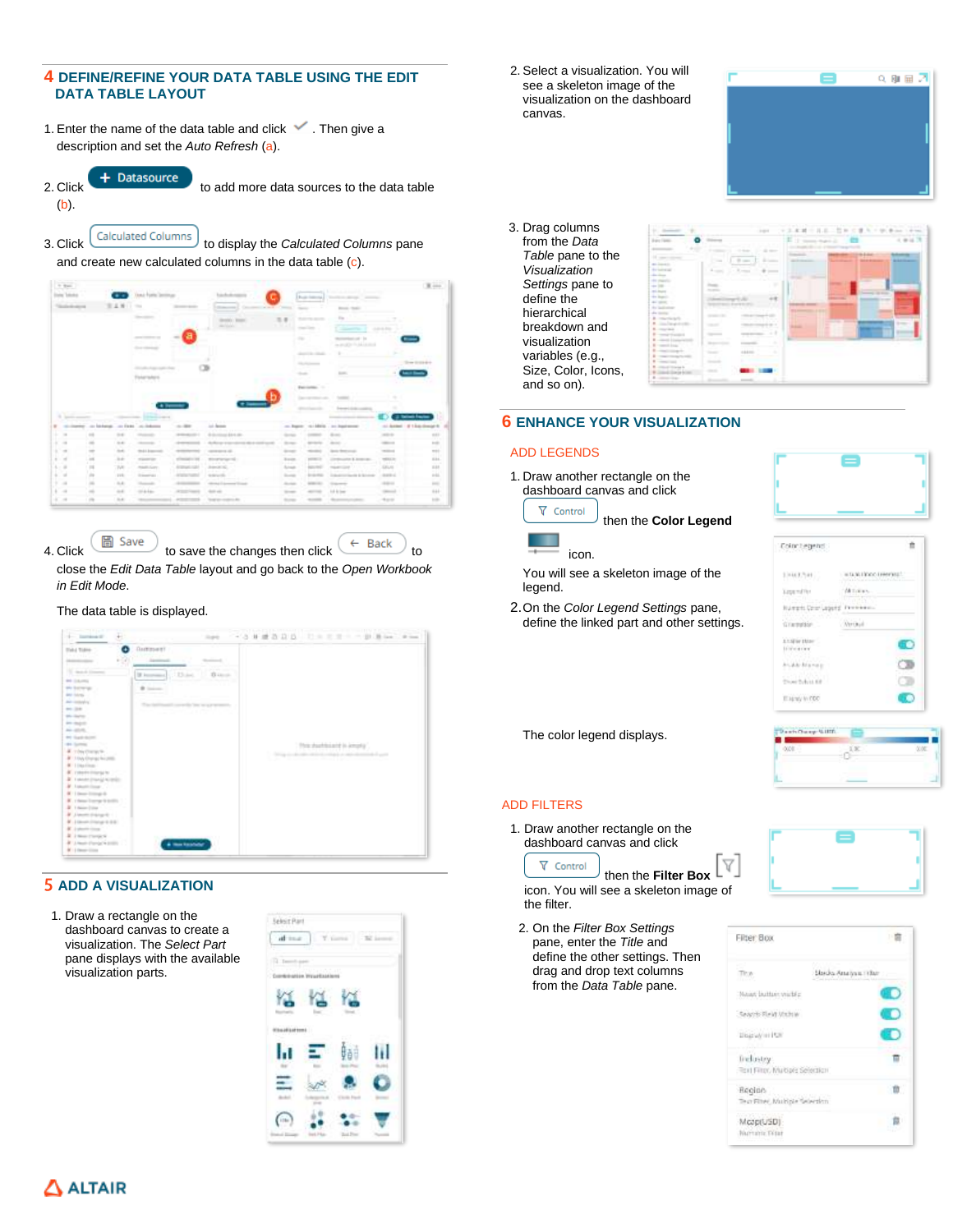# **4 DEFINE/REFINE YOUR DATA TABLE USING THE EDIT DATA TABLE LAYOUT**

- 1. Enter the name of the data table and click  $\blacktriangledown$  . Then give a description and set the *Auto Refresh* (a).
- (b).

2. Click  $\begin{array}{c} +$  Datasource to add more data sources to the data table

3. Click Calculated Columns to display the *Calculated Columns* pane and create new calculated columns in the data table (c).

| <b>C. Base</b>        |                                                |                               |                                                                            |                                                                                     |                                                                         |                                      |                                      |                                                                                                                                                                                                                                                                                                                                                                                                                                                                                         |                                               | $\mathbb{R}$ and                                                                                                                                 |
|-----------------------|------------------------------------------------|-------------------------------|----------------------------------------------------------------------------|-------------------------------------------------------------------------------------|-------------------------------------------------------------------------|--------------------------------------|--------------------------------------|-----------------------------------------------------------------------------------------------------------------------------------------------------------------------------------------------------------------------------------------------------------------------------------------------------------------------------------------------------------------------------------------------------------------------------------------------------------------------------------------|-----------------------------------------------|--------------------------------------------------------------------------------------------------------------------------------------------------|
|                       |                                                |                               | Yang Forty In                                                              |                                                                                     |                                                                         |                                      | Rodrigueza, L                        | Technical detection of the property                                                                                                                                                                                                                                                                                                                                                                                                                                                     |                                               |                                                                                                                                                  |
|                       |                                                |                               |                                                                            | ---                                                                                 | <b>With Committee</b>                                                   |                                      | <b>STATE OF THE</b>                  | _____<br><b><i>Charles Commercial</i></b><br><b>Brook Hotel</b>                                                                                                                                                                                                                                                                                                                                                                                                                         |                                               |                                                                                                                                                  |
|                       |                                                |                               |                                                                            |                                                                                     |                                                                         |                                      |                                      | $\frac{1}{2} \left( \frac{1}{2} \right) \left( \frac{1}{2} \right) \left( \frac{1}{2} \right) \left( \frac{1}{2} \right) \left( \frac{1}{2} \right) \left( \frac{1}{2} \right) \left( \frac{1}{2} \right) \left( \frac{1}{2} \right) \left( \frac{1}{2} \right) \left( \frac{1}{2} \right) \left( \frac{1}{2} \right) \left( \frac{1}{2} \right) \left( \frac{1}{2} \right) \left( \frac{1}{2} \right) \left( \frac{1}{2} \right) \left( \frac{1}{2} \right) \left( \frac$<br><b>Co</b> |                                               |                                                                                                                                                  |
|                       |                                                |                               |                                                                            |                                                                                     |                                                                         |                                      | <b>The Southern Corporation</b>      |                                                                                                                                                                                                                                                                                                                                                                                                                                                                                         |                                               |                                                                                                                                                  |
|                       |                                                |                               |                                                                            |                                                                                     |                                                                         |                                      | <b>CONTRACTOR</b>                    | <b>Service Contract</b>                                                                                                                                                                                                                                                                                                                                                                                                                                                                 | <b>CARL AND</b>                               |                                                                                                                                                  |
|                       |                                                |                               | ---<br><b>Service Controllers</b>                                          |                                                                                     |                                                                         | $\sim$                               |                                      | Management and C.D.<br>as an all to The Adult Atlanta                                                                                                                                                                                                                                                                                                                                                                                                                                   |                                               |                                                                                                                                                  |
|                       |                                                |                               |                                                                            |                                                                                     |                                                                         |                                      | <b>SHOPPING</b>                      |                                                                                                                                                                                                                                                                                                                                                                                                                                                                                         |                                               |                                                                                                                                                  |
|                       |                                                |                               |                                                                            |                                                                                     |                                                                         |                                      | <b>State Address on the American</b> |                                                                                                                                                                                                                                                                                                                                                                                                                                                                                         |                                               | the Stock Gold                                                                                                                                   |
|                       |                                                |                               |                                                                            |                                                                                     |                                                                         | <b>September</b>                     |                                      |                                                                                                                                                                                                                                                                                                                                                                                                                                                                                         |                                               |                                                                                                                                                  |
|                       |                                                |                               |                                                                            |                                                                                     |                                                                         |                                      |                                      |                                                                                                                                                                                                                                                                                                                                                                                                                                                                                         |                                               |                                                                                                                                                  |
|                       |                                                |                               |                                                                            |                                                                                     |                                                                         |                                      |                                      |                                                                                                                                                                                                                                                                                                                                                                                                                                                                                         |                                               |                                                                                                                                                  |
|                       |                                                |                               |                                                                            |                                                                                     |                                                                         |                                      | <b>Painters</b> 11                   |                                                                                                                                                                                                                                                                                                                                                                                                                                                                                         |                                               |                                                                                                                                                  |
|                       |                                                |                               |                                                                            |                                                                                     |                                                                         |                                      |                                      |                                                                                                                                                                                                                                                                                                                                                                                                                                                                                         |                                               |                                                                                                                                                  |
|                       |                                                |                               |                                                                            |                                                                                     |                                                                         |                                      |                                      |                                                                                                                                                                                                                                                                                                                                                                                                                                                                                         |                                               |                                                                                                                                                  |
| <b>LACE OF</b>        |                                                |                               |                                                                            |                                                                                     |                                                                         |                                      | <b>STANDARD COMPANY</b>              | The property of the plan competitions.                                                                                                                                                                                                                                                                                                                                                                                                                                                  |                                               |                                                                                                                                                  |
| The Search Associated |                                                |                               | and Contesting and<br>____                                                 |                                                                                     |                                                                         |                                      |                                      |                                                                                                                                                                                                                                                                                                                                                                                                                                                                                         |                                               |                                                                                                                                                  |
|                       | an increase, on biologic, on Exist, on Indones | and a state of the company of |                                                                            | $-1000$                                                                             | July America<br>----                                                    |                                      | .                                    | on Region 141-Minis, Inc. hashmook-                                                                                                                                                                                                                                                                                                                                                                                                                                                     |                                               |                                                                                                                                                  |
| $\sim$                | $-10-1$                                        | $-11.41$                      |                                                                            | <b>STATISTICS</b>                                                                   | the car company detect com-<br>construction of the control of the state |                                      |                                      | <b>Branch</b>                                                                                                                                                                                                                                                                                                                                                                                                                                                                           | $-0.011$                                      |                                                                                                                                                  |
| $\sim$                | $\sim$                                         | <b>START</b><br>œ.            | --                                                                         |                                                                                     | dependenced to define a second<br>dealership and controlled             | <b>STATISTICS</b>                    |                                      | -                                                                                                                                                                                                                                                                                                                                                                                                                                                                                       | <b>STATISTICS</b>                             |                                                                                                                                                  |
| $\sim$<br>$\sim$      | $\sim$<br>w<br>$\sim$                          | $^{***}$<br>ALC: U            | <b>Hinda &amp; Astronometer</b><br>_____<br><b><i>STANDARD COMPANY</i></b> | the contract of the contract of the con-                                            | assistant company of<br>allowances in the program of                    | <b>STATE</b><br>--<br><b>Brander</b> | <b>MONTH</b>                         | Senior Mentrepower<br>Continued in Kansas and                                                                                                                                                                                                                                                                                                                                                                                                                                           | <b>TERRITORY</b><br>$\sim$<br><b>THEFT OF</b> |                                                                                                                                                  |
| $1 - 10$              | - 77                                           | .                             | <b>Street, Square</b><br><b>Hotel Larry</b>                                | is a formed that a state and the formed                                             |                                                                         | .<br><b>School</b>                   | $\sim$<br><b>BULLING</b>             | The performance the or<br><b>HollyWilliam L.L.C.</b>                                                                                                                                                                                                                                                                                                                                                                                                                                    | 1.7311                                        |                                                                                                                                                  |
| P9                    | $\mathbb{R}^n$<br>w<br>÷                       | M<br><b>TOWN</b>              | <b>Distances</b>                                                           | STEWART - Johnson<br>the common the second control of the<br>All parties Program of | <b>STATISTICS</b>                                                       | <b>Service</b>                       | <b>TELESCO</b><br><b>Andrew Mary</b> | the product of the product of the<br>College continued by Schwarzer                                                                                                                                                                                                                                                                                                                                                                                                                     | <b>LELAS</b><br>n matu<br><b>Harry C.</b>     |                                                                                                                                                  |
| $\rightarrow$         | $\rightarrow$                                  | m<br>ALC:                     | <b>Separate</b>                                                            |                                                                                     | ---<br>Hillmark & C. Grossman Winters                                   | --<br><b>STATISTICS</b>              | <b>ASSESSED</b>                      | <b>STANDARD</b>                                                                                                                                                                                                                                                                                                                                                                                                                                                                         | <b>SERVICE</b>                                |                                                                                                                                                  |
| $\rightarrow$         |                                                | $-1$                          | $10 - 4 - 4 = 6$                                                           | of the process of                                                                   | <b>STATISTICS</b>                                                       | <b>START</b>                         | and the local division               | 1.0 kr low:                                                                                                                                                                                                                                                                                                                                                                                                                                                                             | <b>CONTRACTOR</b><br>-                        | All Autiliard 1. If 1 Robert Streeted H.<br>a.<br>$-111$<br>.<br>$-$<br>$-11$<br>чn.<br>12.24<br>÷<br>11.5<br>- 11<br>$-11$<br>$\sim$<br>$144 -$ |

4. Click to save the changes then click to

close the *Edit Data Table* layout and go back to the *Open Workbook in Edit Mode*.

#### The data table is displayed.

| Đ<br>1 Inches II                                                                                                                                                                                                                                                                                                                                                                                                                                                                                                                                                                                                                                                         | 1999 - 人名斯捷西亚兹 打击完全 一致清洁 中国                                                                                                                                                                                                        |                                      |
|--------------------------------------------------------------------------------------------------------------------------------------------------------------------------------------------------------------------------------------------------------------------------------------------------------------------------------------------------------------------------------------------------------------------------------------------------------------------------------------------------------------------------------------------------------------------------------------------------------------------------------------------------------------------------|------------------------------------------------------------------------------------------------------------------------------------------------------------------------------------------------------------------------------------|--------------------------------------|
| <b>Total Tobie</b><br><b>BY ABSE</b><br>-91<br><b>International</b><br>To dealer timesed<br><b>AND COLLECTION</b><br>the batteries.<br><b>AND SALES - -</b><br>And resolution<br>$100 - 100$<br><b>BY-SAFE</b><br><b>All chapts</b><br>ALC: NO FILE<br><b>PE SURFACE</b><br>as long con-<br># risyouws<br>ALCOHOL: Demand Avionalis<br><b>W</b>   Dayting<br><b>K</b> rate/reliance in<br>2 I sends (manial scopia)<br># Lakeming College<br>M 1 Incentives in<br>W. I those foreign is politic<br>2 I families -<br># Janette dramatic 1<br>M . I likely (rights in diff.)<br><b>Kingdom</b><br>& I machinery<br><b># Union Pergencies</b><br><b>M</b> 13 Hours Gillery | <b>Garment</b><br>Antiques,<br><b>Service Controller</b><br>Base.<br>CES and<br>St. Journalist<br>R Sire<br>The factorizable covered to the security services.<br>The form of the state of the state of<br>œ<br><b>A TRANSPARE</b> | This shorthcard in longita'<br>----- |

# 5 **ADD A VISUALIZATION**

1. Draw a rectangle on the dashboard canvas to create a visualization. The *Select Part* pane displays with the available visualization parts.



2. Select a visualization. You will see a skeleton image of the visualization on the dashboard canvas.



3. Drag columns from the *Data Table* pane to the *Visualization Settings* pane to define the hierarchical breakdown and visualization variables (e.g., Size, Color, Icons, and so on).



### **6 ENHANCE YOUR VISUALIZATION**

#### ADD LEGENDS

1. Draw another rectangle on the dashboard canvas and click



then the **Color Legend** icon.

You will see a skeleton image of the legend.

2.On the *Color Legend Settings* pane, define the linked part and other settings.



| Courseland              |                   |
|-------------------------|-------------------|
| ₫<br>w<br>4             | ast.<br>$-100$    |
| <b>TEST</b><br>n        | --                |
| à<br>٦<br>÷<br>tirin    | <b>Ouris</b><br>۱ |
| ٠                       |                   |
|                         | ÷<br>۱            |
| Elessy In PDD<br>w<br>v |                   |

The color legend displays.

#### ADD FILTERS

 $\nabla$  Control

1. Draw another rectangle on the dashboard canvas and click



V

- icon. You will see a skeleton image of the filter.
- 2. On the *Filter Box Settings* pane, enter the *Title* and define the other settings. Then drag and drop text columns from the *Data Table* pane.





# $\Delta$  ALTAIR